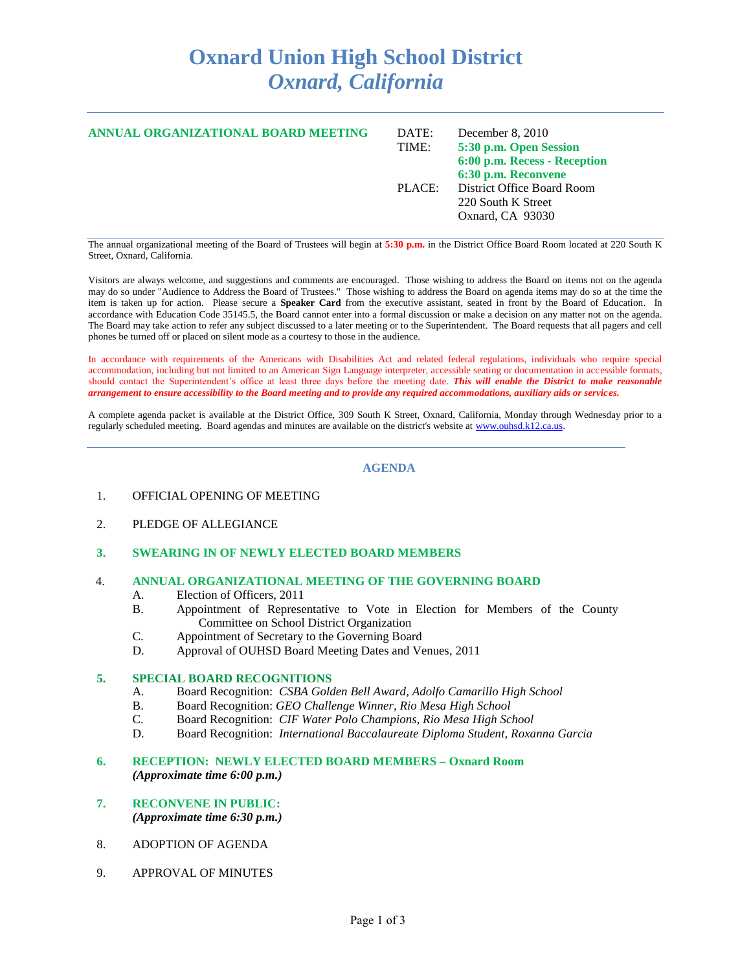# **Oxnard Union High School District** *Oxnard, California*

| ANNUAL ORGANIZATIONAL BOARD MEETING | DATE:  | December $8, 2010$           |
|-------------------------------------|--------|------------------------------|
|                                     | TIME:  | 5:30 p.m. Open Session       |
|                                     |        | 6:00 p.m. Recess - Reception |
|                                     |        | 6:30 p.m. Reconvene          |
|                                     | PLACE: | District Office Board Room   |
|                                     |        | 220 South K Street           |
|                                     |        | Oxnard, CA 93030             |
|                                     |        |                              |

The annual organizational meeting of the Board of Trustees will begin at **5:30 p.m.** in the District Office Board Room located at 220 South K Street, Oxnard, California.

Visitors are always welcome, and suggestions and comments are encouraged. Those wishing to address the Board on items not on the agenda may do so under "Audience to Address the Board of Trustees." Those wishing to address the Board on agenda items may do so at the time the item is taken up for action. Please secure a **Speaker Card** from the executive assistant, seated in front by the Board of Education. In accordance with Education Code 35145.5, the Board cannot enter into a formal discussion or make a decision on any matter not on the agenda. The Board may take action to refer any subject discussed to a later meeting or to the Superintendent. The Board requests that all pagers and cell phones be turned off or placed on silent mode as a courtesy to those in the audience.

In accordance with requirements of the Americans with Disabilities Act and related federal regulations, individuals who require special accommodation, including but not limited to an American Sign Language interpreter, accessible seating or documentation in accessible formats, should contact the Superintendent's office at least three days before the meeting date. *This will enable the District to make reasonable arrangement to ensure accessibility to the Board meeting and to provide any required accommodations, auxiliary aids or services.*

A complete agenda packet is available at the District Office, 309 South K Street, Oxnard, California, Monday through Wednesday prior to a regularly scheduled meeting. Board agendas and minutes are available on the district's website at [www.ouhsd.k12.ca.us.](http://www.ouhsd.k12.ca.us/)

#### **AGENDA**

- 1. OFFICIAL OPENING OF MEETING
- 2. PLEDGE OF ALLEGIANCE
- **3. SWEARING IN OF NEWLY ELECTED BOARD MEMBERS**

#### 4. **ANNUAL ORGANIZATIONAL MEETING OF THE GOVERNING BOARD**

- A. Election of Officers, 2011
- B. Appointment of Representative to Vote in Election for Members of the County Committee on School District Organization
- C. Appointment of Secretary to the Governing Board
- D. Approval of OUHSD Board Meeting Dates and Venues, 2011

#### **5. SPECIAL BOARD RECOGNITIONS**

- A. Board Recognition: *CSBA Golden Bell Award, Adolfo Camarillo High School*
- B. Board Recognition: *GEO Challenge Winner, Rio Mesa High School*
- C. Board Recognition: *CIF Water Polo Champions, Rio Mesa High School*
- D. Board Recognition: *International Baccalaureate Diploma Student, Roxanna Garcia*

## **6. RECEPTION: NEWLY ELECTED BOARD MEMBERS – Oxnard Room** *(Approximate time 6:00 p.m.)*

- **7. RECONVENE IN PUBLIC:**  *(Approximate time 6:30 p.m.)*
- 8. ADOPTION OF AGENDA
- 9. APPROVAL OF MINUTES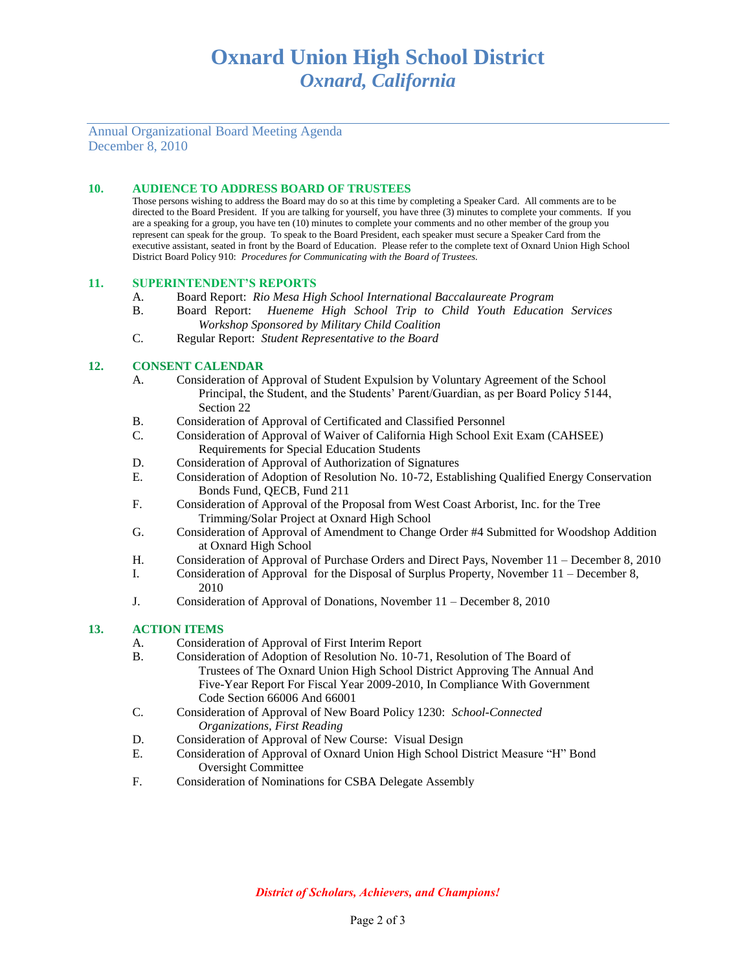# Annual Organizational Board Meeting Agenda December 8, 2010

## **10. AUDIENCE TO ADDRESS BOARD OF TRUSTEES**

Those persons wishing to address the Board may do so at this time by completing a Speaker Card. All comments are to be directed to the Board President. If you are talking for yourself, you have three (3) minutes to complete your comments. If you are a speaking for a group, you have ten (10) minutes to complete your comments and no other member of the group you represent can speak for the group. To speak to the Board President, each speaker must secure a Speaker Card from the executive assistant, seated in front by the Board of Education. Please refer to the complete text of Oxnard Union High School District Board Policy 910: *Procedures for Communicating with the Board of Trustees.*

#### **11. SUPERINTENDENT'S REPORTS**

- A. Board Report: *Rio Mesa High School International Baccalaureate Program*
- B. Board Report: *Hueneme High School Trip to Child Youth Education Services Workshop Sponsored by Military Child Coalition*
- C. Regular Report: *Student Representative to the Board*

### **12. CONSENT CALENDAR**

- A. Consideration of Approval of Student Expulsion by Voluntary Agreement of the School Principal, the Student, and the Students' Parent/Guardian, as per Board Policy 5144, Section 22
- B. Consideration of Approval of Certificated and Classified Personnel
- C. Consideration of Approval of Waiver of California High School Exit Exam (CAHSEE) Requirements for Special Education Students
- D. Consideration of Approval of Authorization of Signatures
- E. Consideration of Adoption of Resolution No. 10-72, Establishing Qualified Energy Conservation Bonds Fund, QECB, Fund 211
- F. Consideration of Approval of the Proposal from West Coast Arborist, Inc. for the Tree Trimming/Solar Project at Oxnard High School
- G. Consideration of Approval of Amendment to Change Order #4 Submitted for Woodshop Addition at Oxnard High School
- H. Consideration of Approval of Purchase Orders and Direct Pays, November 11 December 8, 2010
- I. Consideration of Approval for the Disposal of Surplus Property, November 11 December 8, 2010
- J. Consideration of Approval of Donations, November 11 December 8, 2010

## **13. ACTION ITEMS**

- A. Consideration of Approval of First Interim Report
- B. Consideration of Adoption of Resolution No. 10-71, Resolution of The Board of Trustees of The Oxnard Union High School District Approving The Annual And Five-Year Report For Fiscal Year 2009-2010, In Compliance With Government Code Section 66006 And 66001
- C. Consideration of Approval of New Board Policy 1230: *School-Connected Organizations, First Reading*
- D. Consideration of Approval of New Course: Visual Design
- E. Consideration of Approval of Oxnard Union High School District Measure "H" Bond Oversight Committee
- F. Consideration of Nominations for CSBA Delegate Assembly

*District of Scholars, Achievers, and Champions!*